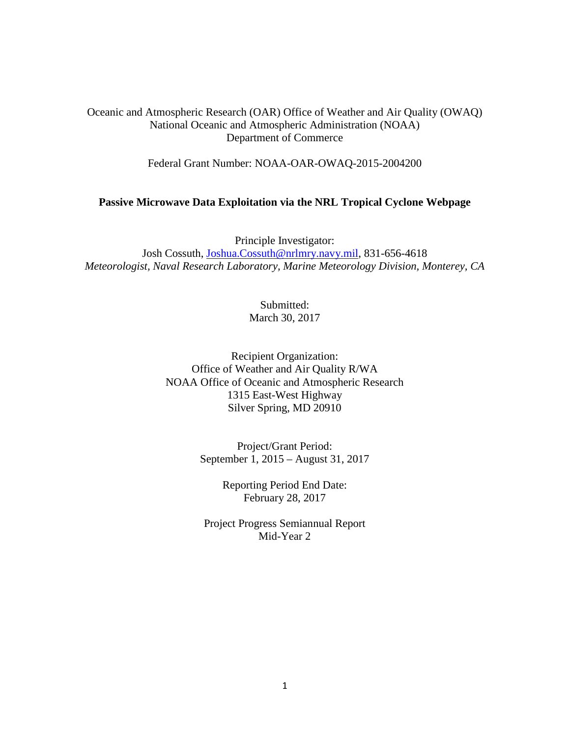Oceanic and Atmospheric Research (OAR) Office of Weather and Air Quality (OWAQ) National Oceanic and Atmospheric Administration (NOAA) Department of Commerce

Federal Grant Number: NOAA-OAR-OWAQ-2015-2004200

#### **Passive Microwave Data Exploitation via the NRL Tropical Cyclone Webpage**

Principle Investigator: Josh Cossuth, [Joshua.Cossuth@nrlmry.navy.mil,](mailto:Joshua.Cossuth@nrlmry.navy.mil) 831-656-4618 *Meteorologist, Naval Research Laboratory, Marine Meteorology Division, Monterey, CA*

> Submitted: March 30, 2017

Recipient Organization: Office of Weather and Air Quality R/WA NOAA Office of Oceanic and Atmospheric Research 1315 East-West Highway Silver Spring, MD 20910

> Project/Grant Period: September 1, 2015 – August 31, 2017

> > Reporting Period End Date: February 28, 2017

Project Progress Semiannual Report Mid-Year 2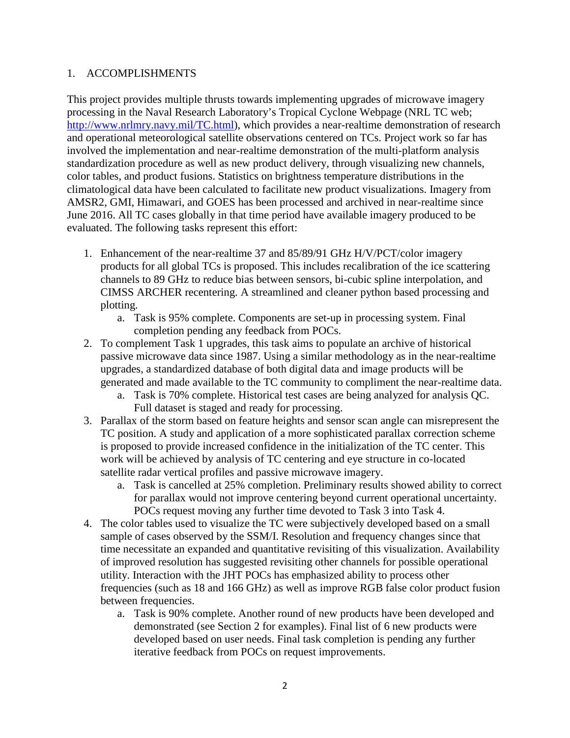### 1. ACCOMPLISHMENTS

This project provides multiple thrusts towards implementing upgrades of microwave imagery processing in the Naval Research Laboratory's Tropical Cyclone Webpage (NRL TC web; [http://www.nrlmry.navy.mil/TC.html\)](http://www.nrlmry.navy.mil/TC.html), which provides a near-realtime demonstration of research and operational meteorological satellite observations centered on TCs. Project work so far has involved the implementation and near-realtime demonstration of the multi-platform analysis standardization procedure as well as new product delivery, through visualizing new channels, color tables, and product fusions. Statistics on brightness temperature distributions in the climatological data have been calculated to facilitate new product visualizations. Imagery from AMSR2, GMI, Himawari, and GOES has been processed and archived in near-realtime since June 2016. All TC cases globally in that time period have available imagery produced to be evaluated. The following tasks represent this effort:

- 1. Enhancement of the near-realtime 37 and 85/89/91 GHz H/V/PCT/color imagery products for all global TCs is proposed. This includes recalibration of the ice scattering channels to 89 GHz to reduce bias between sensors, bi-cubic spline interpolation, and CIMSS ARCHER recentering. A streamlined and cleaner python based processing and plotting.
	- a. Task is 95% complete. Components are set-up in processing system. Final completion pending any feedback from POCs.
- 2. To complement Task 1 upgrades, this task aims to populate an archive of historical passive microwave data since 1987. Using a similar methodology as in the near-realtime upgrades, a standardized database of both digital data and image products will be generated and made available to the TC community to compliment the near-realtime data.
	- a. Task is 70% complete. Historical test cases are being analyzed for analysis QC. Full dataset is staged and ready for processing.
- 3. Parallax of the storm based on feature heights and sensor scan angle can misrepresent the TC position. A study and application of a more sophisticated parallax correction scheme is proposed to provide increased confidence in the initialization of the TC center. This work will be achieved by analysis of TC centering and eye structure in co-located satellite radar vertical profiles and passive microwave imagery.
	- a. Task is cancelled at 25% completion. Preliminary results showed ability to correct for parallax would not improve centering beyond current operational uncertainty. POCs request moving any further time devoted to Task 3 into Task 4.
- 4. The color tables used to visualize the TC were subjectively developed based on a small sample of cases observed by the SSM/I. Resolution and frequency changes since that time necessitate an expanded and quantitative revisiting of this visualization. Availability of improved resolution has suggested revisiting other channels for possible operational utility. Interaction with the JHT POCs has emphasized ability to process other frequencies (such as 18 and 166 GHz) as well as improve RGB false color product fusion between frequencies.
	- a. Task is 90% complete. Another round of new products have been developed and demonstrated (see Section 2 for examples). Final list of 6 new products were developed based on user needs. Final task completion is pending any further iterative feedback from POCs on request improvements.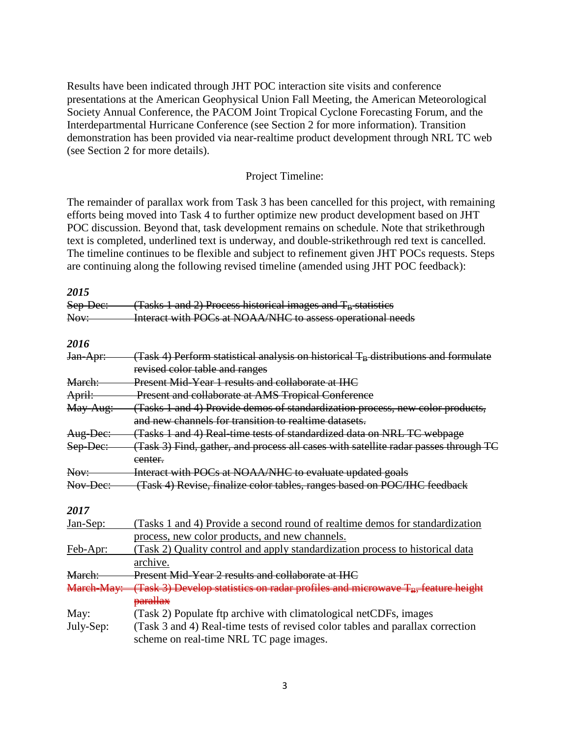Results have been indicated through JHT POC interaction site visits and conference presentations at the American Geophysical Union Fall Meeting, the American Meteorological Society Annual Conference, the PACOM Joint Tropical Cyclone Forecasting Forum, and the Interdepartmental Hurricane Conference (see Section 2 for more information). Transition demonstration has been provided via near-realtime product development through NRL TC web (see Section 2 for more details).

#### Project Timeline:

The remainder of parallax work from Task 3 has been cancelled for this project, with remaining efforts being moved into Task 4 to further optimize new product development based on JHT POC discussion. Beyond that, task development remains on schedule. Note that strikethrough text is completed, underlined text is underway, and double-strikethrough red text is cancelled. The timeline continues to be flexible and subject to refinement given JHT POCs requests. Steps are continuing along the following revised timeline (amended using JHT POC feedback):

| 2015       |                                                                                                                                        |  |  |
|------------|----------------------------------------------------------------------------------------------------------------------------------------|--|--|
| Sep-Dec:   | (Tasks 1 and 2) Process historical images and $T_B$ statistics                                                                         |  |  |
| Nov:       | Interact with POCs at NOAA/NHC to assess operational needs                                                                             |  |  |
| 2016       |                                                                                                                                        |  |  |
| Jan-Apr:   | (Task 4) Perform statistical analysis on historical $T_B$ distributions and formulate<br>revised color table and ranges                |  |  |
| Mareh:     | <b>Present Mid-Year 1 results and collaborate at IHC</b>                                                                               |  |  |
| April:     | Present and collaborate at AMS Tropical Conference                                                                                     |  |  |
| May-Aug:   | (Tasks 1 and 4) Provide demos of standardization process, new color products,<br>and new channels for transition to realtime datasets. |  |  |
| Aug-Dec:   | (Tasks 1 and 4) Real-time tests of standardized data on NRL TC webpage                                                                 |  |  |
| Sep-Dec:   | (Task 3) Find, gather, and process all cases with satellite radar passes through TC<br>eenter.                                         |  |  |
| Nov:       | Interact with POCs at NOAA/NHC to evaluate updated goals                                                                               |  |  |
| Nov-Dec:   | (Task 4) Revise, finalize color tables, ranges based on POC/IHC feedback                                                               |  |  |
| 2017       |                                                                                                                                        |  |  |
| Jan-Sep:   | (Tasks 1 and 4) Provide a second round of realtime demos for standardization<br>process, new color products, and new channels.         |  |  |
| Feb-Apr:   | (Task 2) Quality control and apply standardization process to historical data<br>archive.                                              |  |  |
| March:     | Present Mid-Year 2 results and collaborate at IHC                                                                                      |  |  |
| March-May: | (Task 3) Develop statistics on radar profiles and microwave T <sub>B</sub> , feature height                                            |  |  |
|            | parallax                                                                                                                               |  |  |
| May:       | (Task 2) Populate ftp archive with climatological netCDFs, images                                                                      |  |  |
| July-Sep:  | (Task 3 and 4) Real-time tests of revised color tables and parallax correction                                                         |  |  |
|            | scheme on real-time NRL TC page images.                                                                                                |  |  |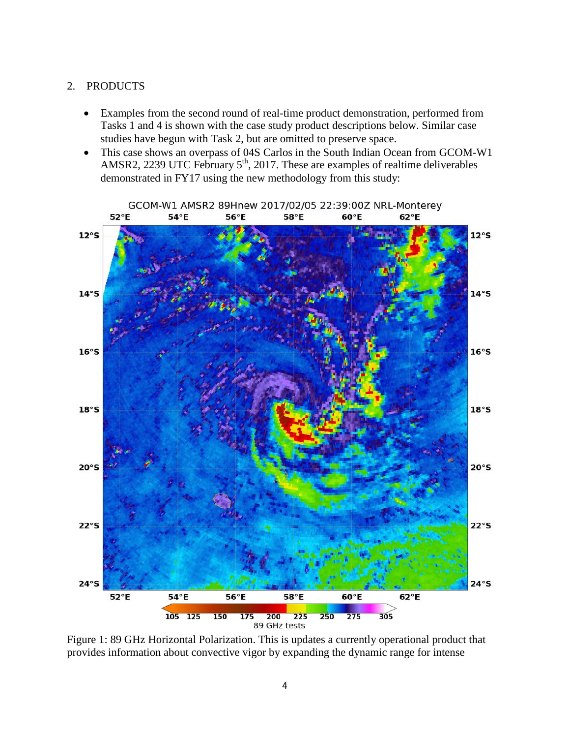### 2. PRODUCTS

- Examples from the second round of real-time product demonstration, performed from Tasks 1 and 4 is shown with the case study product descriptions below. Similar case studies have begun with Task 2, but are omitted to preserve space.
- This case shows an overpass of 04S Carlos in the South Indian Ocean from GCOM-W1 AMSR2, 2239 UTC February  $5<sup>th</sup>$ , 2017. These are examples of realtime deliverables demonstrated in FY17 using the new methodology from this study:



Figure 1: 89 GHz Horizontal Polarization. This is updates a currently operational product that provides information about convective vigor by expanding the dynamic range for intense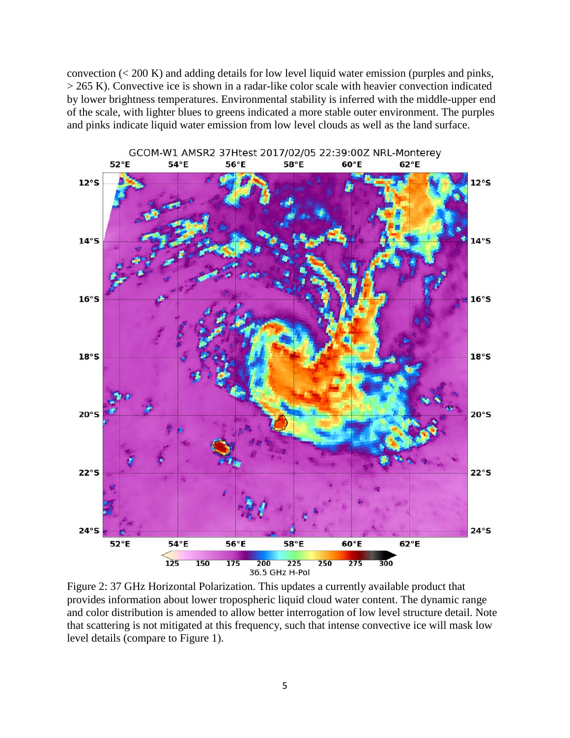convection (< 200 K) and adding details for low level liquid water emission (purples and pinks, > 265 K). Convective ice is shown in a radar-like color scale with heavier convection indicated by lower brightness temperatures. Environmental stability is inferred with the middle-upper end of the scale, with lighter blues to greens indicated a more stable outer environment. The purples and pinks indicate liquid water emission from low level clouds as well as the land surface.



Figure 2: 37 GHz Horizontal Polarization. This updates a currently available product that provides information about lower tropospheric liquid cloud water content. The dynamic range and color distribution is amended to allow better interrogation of low level structure detail. Note that scattering is not mitigated at this frequency, such that intense convective ice will mask low level details (compare to Figure 1).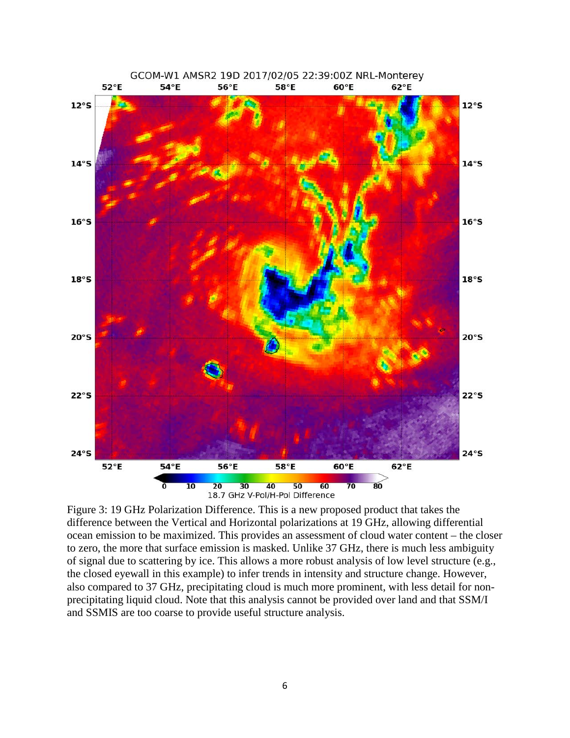

Figure 3: 19 GHz Polarization Difference. This is a new proposed product that takes the difference between the Vertical and Horizontal polarizations at 19 GHz, allowing differential ocean emission to be maximized. This provides an assessment of cloud water content – the closer to zero, the more that surface emission is masked. Unlike 37 GHz, there is much less ambiguity of signal due to scattering by ice. This allows a more robust analysis of low level structure (e.g., the closed eyewall in this example) to infer trends in intensity and structure change. However, also compared to 37 GHz, precipitating cloud is much more prominent, with less detail for nonprecipitating liquid cloud. Note that this analysis cannot be provided over land and that SSM/I and SSMIS are too coarse to provide useful structure analysis.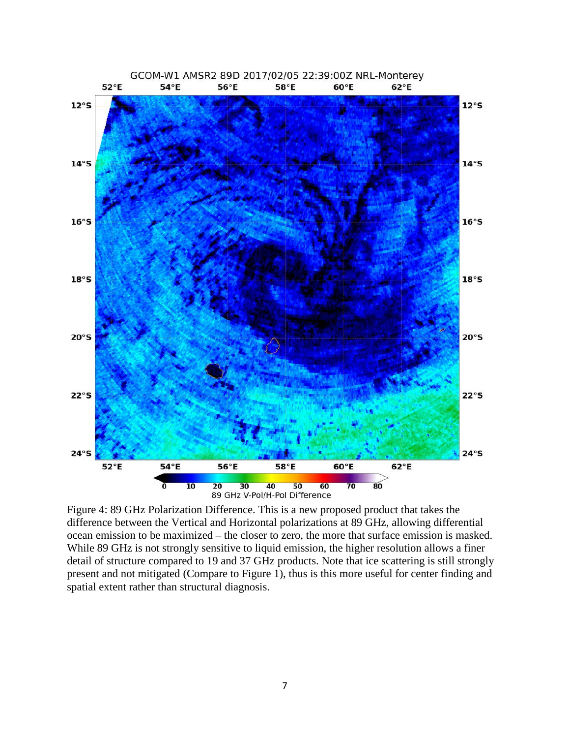

Figure 4: 89 GHz Polarization Difference. This is a new proposed product that takes the difference between the Vertical and Horizontal polarizations at 89 GHz, allowing differential ocean emission to be maximized – the closer to zero, the more that surface emission is masked. While 89 GHz is not strongly sensitive to liquid emission, the higher resolution allows a finer detail of structure compared to 19 and 37 GHz products. Note that ice scattering is still strongly present and not mitigated (Compare to Figure 1), thus is this more useful for center finding and spatial extent rather than structural diagnosis.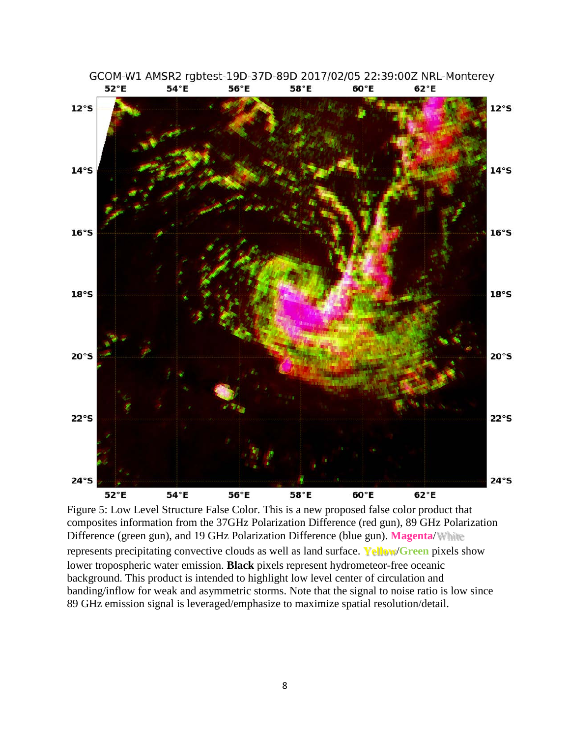

GCOM-W1 AMSR2 rgbtest-19D-37D-89D 2017/02/05 22:39:00Z NRL-Monterey 52°E 54°E 56°E 58°E 60°E 62°E

Figure 5: Low Level Structure False Color. This is a new proposed false color product that composites information from the 37GHz Polarization Difference (red gun), 89 GHz Polarization Difference (green gun), and 19 GHz Polarization Difference (blue gun). **Magenta**/White represents precipitating convective clouds as well as land surface. **Yellow**/**Green** pixels show lower tropospheric water emission. **Black** pixels represent hydrometeor-free oceanic background. This product is intended to highlight low level center of circulation and banding/inflow for weak and asymmetric storms. Note that the signal to noise ratio is low since 89 GHz emission signal is leveraged/emphasize to maximize spatial resolution/detail.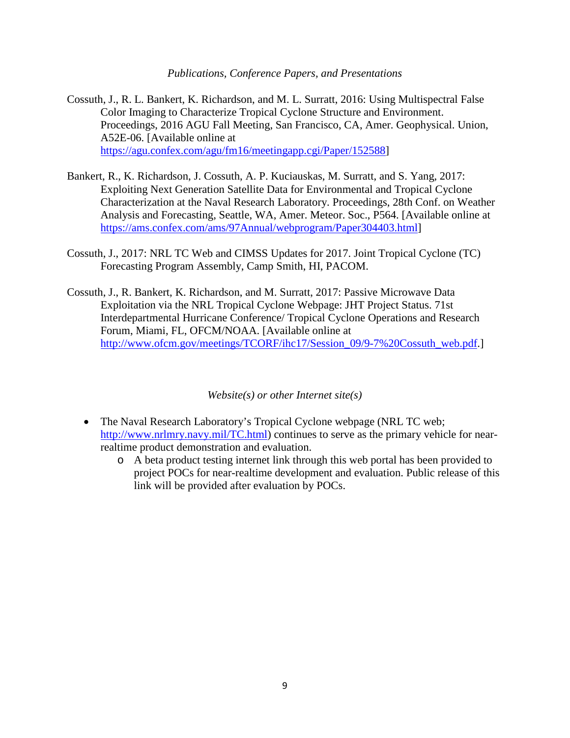*Publications, Conference Papers, and Presentations*

- Cossuth, J., R. L. Bankert, K. Richardson, and M. L. Surratt, 2016: Using Multispectral False Color Imaging to Characterize Tropical Cyclone Structure and Environment. Proceedings, 2016 AGU Fall Meeting, San Francisco, CA, Amer. Geophysical. Union, A52E-06. [Available online at [https://agu.confex.com/agu/fm16/meetingapp.cgi/Paper/152588\]](https://agu.confex.com/agu/fm16/meetingapp.cgi/Paper/152588)
- Bankert, R., K. Richardson, J. Cossuth, A. P. Kuciauskas, M. Surratt, and S. Yang, 2017: Exploiting Next Generation Satellite Data for Environmental and Tropical Cyclone Characterization at the Naval Research Laboratory. Proceedings, 28th Conf. on Weather Analysis and Forecasting, Seattle, WA, Amer. Meteor. Soc., P564. [Available online at [https://ams.confex.com/ams/97Annual/webprogram/Paper304403.html\]](https://ams.confex.com/ams/97Annual/webprogram/Paper304403.html)
- Cossuth, J., 2017: NRL TC Web and CIMSS Updates for 2017. Joint Tropical Cyclone (TC) Forecasting Program Assembly, Camp Smith, HI, PACOM.
- Cossuth, J., R. Bankert, K. Richardson, and M. Surratt, 2017: Passive Microwave Data Exploitation via the NRL Tropical Cyclone Webpage: JHT Project Status. 71st Interdepartmental Hurricane Conference/ Tropical Cyclone Operations and Research Forum, Miami, FL, OFCM/NOAA. [Available online at [http://www.ofcm.gov/meetings/TCORF/ihc17/Session\\_09/9-7%20Cossuth\\_web.pdf.](http://www.ofcm.gov/meetings/TCORF/ihc17/Session_09/9-7%20Cossuth_web.pdf)]

*Website(s) or other Internet site(s)*

- The Naval Research Laboratory's Tropical Cyclone webpage (NRL TC web; [http://www.nrlmry.navy.mil/TC.html\)](http://www.nrlmry.navy.mil/TC.html) continues to serve as the primary vehicle for nearrealtime product demonstration and evaluation.
	- o A beta product testing internet link through this web portal has been provided to project POCs for near-realtime development and evaluation. Public release of this link will be provided after evaluation by POCs.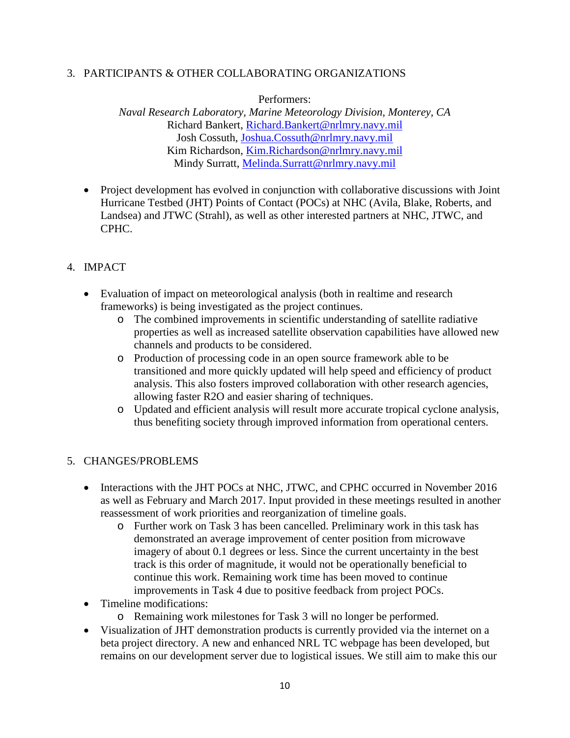### 3. PARTICIPANTS & OTHER COLLABORATING ORGANIZATIONS

Performers:

*Naval Research Laboratory, Marine Meteorology Division, Monterey, CA* Richard Bankert, [Richard.Bankert@nrlmry.navy.mil](mailto:Richard.Bankert@nrlmry.navy.mil) Josh Cossuth, [Joshua.Cossuth@nrlmry.navy.mil](mailto:Joshua.Cossuth@nrlmry.navy.mil) Kim Richardson, [Kim.Richardson@nrlmry.navy.mil](mailto:Kim.Richardson@nrlmry.navy.mil) Mindy Surratt, [Melinda.Surratt@nrlmry.navy.mil](mailto:Melinda.Surratt@nrlmry.navy.mil)

- Project development has evolved in conjunction with collaborative discussions with Joint Hurricane Testbed (JHT) Points of Contact (POCs) at NHC (Avila, Blake, Roberts, and Landsea) and JTWC (Strahl), as well as other interested partners at NHC, JTWC, and CPHC.
- 4. IMPACT
	- Evaluation of impact on meteorological analysis (both in realtime and research frameworks) is being investigated as the project continues.
		- o The combined improvements in scientific understanding of satellite radiative properties as well as increased satellite observation capabilities have allowed new channels and products to be considered.
		- o Production of processing code in an open source framework able to be transitioned and more quickly updated will help speed and efficiency of product analysis. This also fosters improved collaboration with other research agencies, allowing faster R2O and easier sharing of techniques.
		- o Updated and efficient analysis will result more accurate tropical cyclone analysis, thus benefiting society through improved information from operational centers.

# 5. CHANGES/PROBLEMS

- Interactions with the JHT POCs at NHC, JTWC, and CPHC occurred in November 2016 as well as February and March 2017. Input provided in these meetings resulted in another reassessment of work priorities and reorganization of timeline goals.
	- o Further work on Task 3 has been cancelled. Preliminary work in this task has demonstrated an average improvement of center position from microwave imagery of about 0.1 degrees or less. Since the current uncertainty in the best track is this order of magnitude, it would not be operationally beneficial to continue this work. Remaining work time has been moved to continue improvements in Task 4 due to positive feedback from project POCs.
- Timeline modifications:
	- o Remaining work milestones for Task 3 will no longer be performed.
- Visualization of JHT demonstration products is currently provided via the internet on a beta project directory. A new and enhanced NRL TC webpage has been developed, but remains on our development server due to logistical issues. We still aim to make this our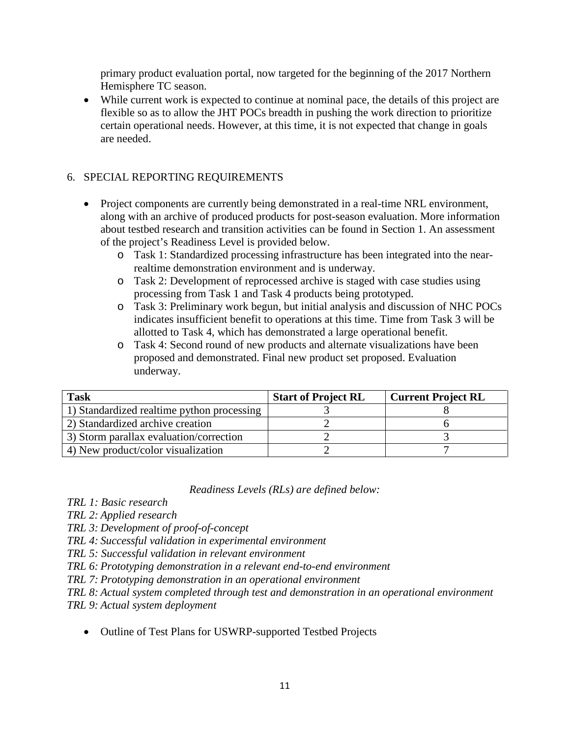primary product evaluation portal, now targeted for the beginning of the 2017 Northern Hemisphere TC season.

• While current work is expected to continue at nominal pace, the details of this project are flexible so as to allow the JHT POCs breadth in pushing the work direction to prioritize certain operational needs. However, at this time, it is not expected that change in goals are needed.

# 6. SPECIAL REPORTING REQUIREMENTS

- Project components are currently being demonstrated in a real-time NRL environment, along with an archive of produced products for post-season evaluation. More information about testbed research and transition activities can be found in Section 1. An assessment of the project's Readiness Level is provided below.
	- o Task 1: Standardized processing infrastructure has been integrated into the nearrealtime demonstration environment and is underway.
	- o Task 2: Development of reprocessed archive is staged with case studies using processing from Task 1 and Task 4 products being prototyped.
	- o Task 3: Preliminary work begun, but initial analysis and discussion of NHC POCs indicates insufficient benefit to operations at this time. Time from Task 3 will be allotted to Task 4, which has demonstrated a large operational benefit.
	- o Task 4: Second round of new products and alternate visualizations have been proposed and demonstrated. Final new product set proposed. Evaluation underway.

| <b>Task</b>                                | <b>Start of Project RL</b> | <b>Current Project RL</b> |
|--------------------------------------------|----------------------------|---------------------------|
| 1) Standardized realtime python processing |                            |                           |
| 2) Standardized archive creation           |                            |                           |
| 3) Storm parallax evaluation/correction    |                            |                           |
| 4) New product/color visualization         |                            |                           |

### *Readiness Levels (RLs) are defined below:*

*TRL 1: Basic research*

*TRL 2: Applied research*

*TRL 3: Development of proof-of-concept*

*TRL 4: Successful validation in experimental environment*

*TRL 5: Successful validation in relevant environment*

*TRL 6: Prototyping demonstration in a relevant end-to-end environment*

*TRL 7: Prototyping demonstration in an operational environment*

*TRL 8: Actual system completed through test and demonstration in an operational environment* 

*TRL 9: Actual system deployment*

• Outline of Test Plans for USWRP-supported Testbed Projects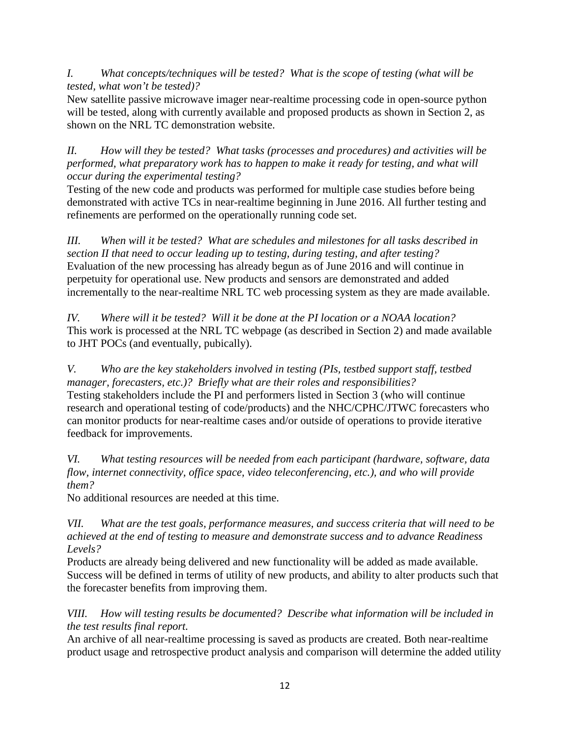*I. What concepts/techniques will be tested? What is the scope of testing (what will be tested, what won't be tested)?*

New satellite passive microwave imager near-realtime processing code in open-source python will be tested, along with currently available and proposed products as shown in Section 2, as shown on the NRL TC demonstration website.

*II. How will they be tested? What tasks (processes and procedures) and activities will be performed, what preparatory work has to happen to make it ready for testing, and what will occur during the experimental testing?*

Testing of the new code and products was performed for multiple case studies before being demonstrated with active TCs in near-realtime beginning in June 2016. All further testing and refinements are performed on the operationally running code set.

*III. When will it be tested? What are schedules and milestones for all tasks described in section II that need to occur leading up to testing, during testing, and after testing?*  Evaluation of the new processing has already begun as of June 2016 and will continue in perpetuity for operational use. New products and sensors are demonstrated and added incrementally to the near-realtime NRL TC web processing system as they are made available.

*IV. Where will it be tested? Will it be done at the PI location or a NOAA location?* This work is processed at the NRL TC webpage (as described in Section 2) and made available to JHT POCs (and eventually, pubically).

*V. Who are the key stakeholders involved in testing (PIs, testbed support staff, testbed manager, forecasters, etc.)? Briefly what are their roles and responsibilities?* Testing stakeholders include the PI and performers listed in Section 3 (who will continue research and operational testing of code/products) and the NHC/CPHC/JTWC forecasters who can monitor products for near-realtime cases and/or outside of operations to provide iterative feedback for improvements.

*VI. What testing resources will be needed from each participant (hardware, software, data flow, internet connectivity, office space, video teleconferencing, etc.), and who will provide them?* 

No additional resources are needed at this time.

*VII. What are the test goals, performance measures, and success criteria that will need to be achieved at the end of testing to measure and demonstrate success and to advance Readiness Levels?*

Products are already being delivered and new functionality will be added as made available. Success will be defined in terms of utility of new products, and ability to alter products such that the forecaster benefits from improving them.

*VIII. How will testing results be documented? Describe what information will be included in the test results final report.*

An archive of all near-realtime processing is saved as products are created. Both near-realtime product usage and retrospective product analysis and comparison will determine the added utility